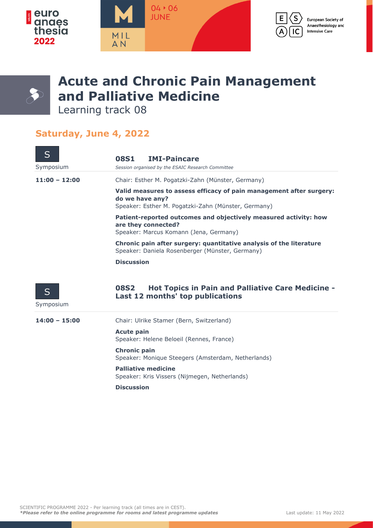



## **Acute and Chronic Pain Management and Palliative Medicine**

Learning track 08

## **Saturday, June 4, 2022**

| S<br>Symposium  | <b>IMI-Paincare</b><br><b>08S1</b><br>Session organised by the ESAIC Research Committee                                                       |
|-----------------|-----------------------------------------------------------------------------------------------------------------------------------------------|
| $11:00 - 12:00$ | Chair: Esther M. Pogatzki-Zahn (Münster, Germany)                                                                                             |
|                 | Valid measures to assess efficacy of pain management after surgery:<br>do we have any?<br>Speaker: Esther M. Pogatzki-Zahn (Münster, Germany) |
|                 | Patient-reported outcomes and objectively measured activity: how<br>are they connected?<br>Speaker: Marcus Komann (Jena, Germany)             |
|                 | Chronic pain after surgery: quantitative analysis of the literature<br>Speaker: Daniela Rosenberger (Münster, Germany)                        |
|                 | <b>Discussion</b>                                                                                                                             |
| S<br>Symposium  | <b>Hot Topics in Pain and Palliative Care Medicine -</b><br><b>08S2</b><br>Last 12 months' top publications                                   |
| $14:00 - 15:00$ | Chair: Ulrike Stamer (Bern, Switzerland)                                                                                                      |
|                 | <b>Acute pain</b><br>Speaker: Helene Beloeil (Rennes, France)                                                                                 |
|                 | <b>Chronic pain</b><br>Speaker: Monique Steegers (Amsterdam, Netherlands)                                                                     |
|                 | <b>Palliative medicine</b><br>Speaker: Kris Vissers (Nijmegen, Netherlands)                                                                   |
|                 | <b>Discussion</b>                                                                                                                             |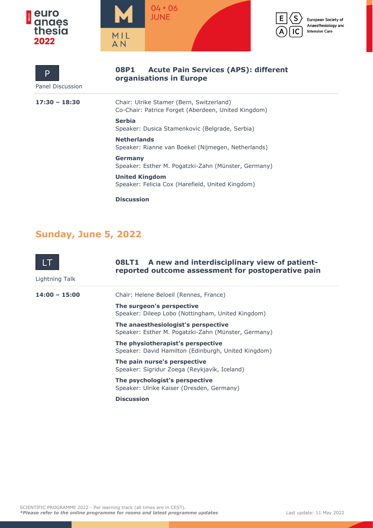



**organisations in Europe**



European Society of Anaesthesiology and **Intensive Care** 

Panel Discussion P

**17:30 – 18:30** Chair: Ulrike Stamer (Bern, Switzerland) Co-Chair: Patrice Forget (Aberdeen, United Kingdom)

**08P1 Acute Pain Services (APS): different** 

**Serbia** Speaker: Dusica Stamenkovic (Belgrade, Serbia)

**Netherlands** Speaker: Rianne van Boekel (Nijmegen, Netherlands)

**Germany** Speaker: Esther M. Pogatzki-Zahn (Münster, Germany)

**United Kingdom** Speaker: Felicia Cox (Harefield, United Kingdom)

**Discussion**

## **Sunday, June 5, 2022**

| Lightning Talk  | <b>08LT1</b> A new and interdisciplinary view of patient-<br>reported outcome assessment for postoperative pain |
|-----------------|-----------------------------------------------------------------------------------------------------------------|
| $14:00 - 15:00$ | Chair: Helene Beloeil (Rennes, France)                                                                          |
|                 | The surgeon's perspective<br>Speaker: Dileep Lobo (Nottingham, United Kingdom)                                  |
|                 | The anaesthesiologist's perspective<br>Speaker: Esther M. Pogatzki-Zahn (Münster, Germany)                      |
|                 | The physiotherapist's perspective<br>Speaker: David Hamilton (Edinburgh, United Kingdom)                        |
|                 | The pain nurse's perspective<br>Speaker: Sigridur Zoega (Reykjavík, Iceland)                                    |
|                 | The psychologist's perspective<br>Speaker: Ulrike Kaiser (Dresden, Germany)                                     |
|                 | <b>Discussion</b>                                                                                               |